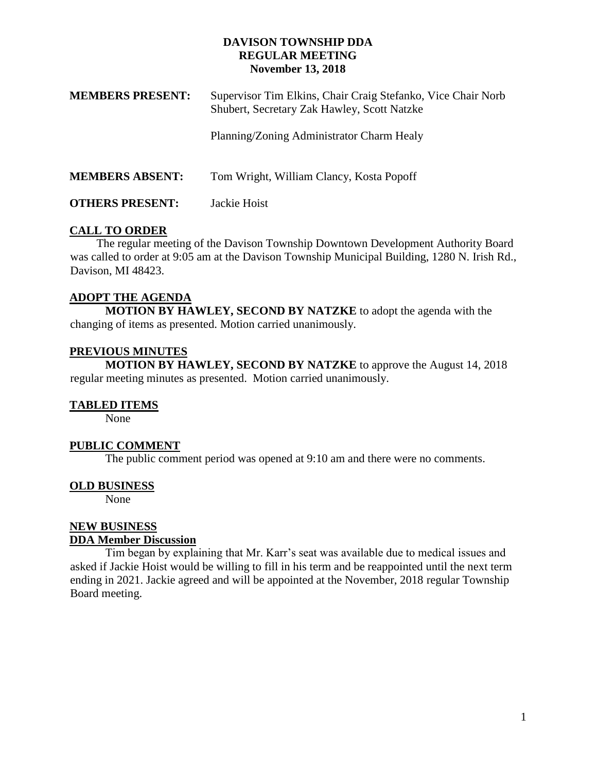### **DAVISON TOWNSHIP DDA REGULAR MEETING November 13, 2018**

| <b>MEMBERS PRESENT:</b> | Supervisor Tim Elkins, Chair Craig Stefanko, Vice Chair Norb<br>Shubert, Secretary Zak Hawley, Scott Natzke |
|-------------------------|-------------------------------------------------------------------------------------------------------------|
|                         | Planning/Zoning Administrator Charm Healy                                                                   |
| <b>MEMBERS ABSENT:</b>  | Tom Wright, William Clancy, Kosta Popoff                                                                    |
| <b>OTHERS PRESENT:</b>  | Jackie Hoist                                                                                                |

# **CALL TO ORDER**

 The regular meeting of the Davison Township Downtown Development Authority Board was called to order at 9:05 am at the Davison Township Municipal Building, 1280 N. Irish Rd., Davison, MI 48423.

# **ADOPT THE AGENDA**

**MOTION BY HAWLEY, SECOND BY NATZKE** to adopt the agenda with the changing of items as presented. Motion carried unanimously.

## **PREVIOUS MINUTES**

**MOTION BY HAWLEY, SECOND BY NATZKE** to approve the August 14, 2018 regular meeting minutes as presented. Motion carried unanimously.

### **TABLED ITEMS**

None

### **PUBLIC COMMENT**

The public comment period was opened at 9:10 am and there were no comments.

### **OLD BUSINESS**

None

#### **NEW BUSINESS DDA Member Discussion**

Tim began by explaining that Mr. Karr's seat was available due to medical issues and asked if Jackie Hoist would be willing to fill in his term and be reappointed until the next term ending in 2021. Jackie agreed and will be appointed at the November, 2018 regular Township Board meeting.